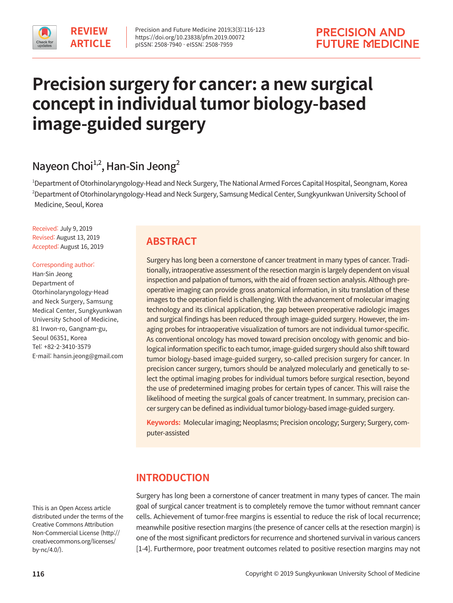# **Precision surgery for cancer: a new surgical concept in individual tumor biology-based image-guided surgery**

# Nayeon Choi<sup>1,2</sup>, Han-Sin Jeong<sup>2</sup>

1 Department of Otorhinolaryngology-Head and Neck Surgery, The National Armed Forces Capital Hospital, Seongnam, Korea 2 Department of Otorhinolaryngology-Head and Neck Surgery, Samsung Medical Center, Sungkyunkwan University School of Medicine, Seoul, Korea

Received: July 9, 2019 Revised: August 13, 2019 Accepted: August 16, 2019

#### Corresponding author:

Han-Sin Jeong Department of Otorhinolaryngology-Head and Neck Surgery, Samsung Medical Center, Sungkyunkwan University School of Medicine, 81 Irwon-ro, Gangnam-gu, Seoul 06351, Korea Tel: +82-2-3410-3579 E-mail: hansin.jeong@gmail.com

This is an Open Access article distributed under the terms of the Creative Commons Attribution Non-Commercial License (http:// creativecommons.org/licenses/ by-nc/4.0/).

# **ABSTRACT**

Surgery has long been a cornerstone of cancer treatment in many types of cancer. Traditionally, intraoperative assessment of the resection margin is largely dependent on visual inspection and palpation of tumors, with the aid of frozen section analysis. Although preoperative imaging can provide gross anatomical information, in situ translation of these images to the operation field is challenging. With the advancement of molecular imaging technology and its clinical application, the gap between preoperative radiologic images and surgical findings has been reduced through image-guided surgery. However, the imaging probes for intraoperative visualization of tumors are not individual tumor-specific. As conventional oncology has moved toward precision oncology with genomic and biological information specific to each tumor, image-guided surgery should also shift toward tumor biology-based image-guided surgery, so-called precision surgery for cancer. In precision cancer surgery, tumors should be analyzed molecularly and genetically to select the optimal imaging probes for individual tumors before surgical resection, beyond the use of predetermined imaging probes for certain types of cancer. This will raise the likelihood of meeting the surgical goals of cancer treatment. In summary, precision cancer surgery can be defined as individual tumor biology-based image-guided surgery.

**Keywords:** Molecular imaging; Neoplasms; Precision oncology; Surgery; Surgery, computer-assisted

# **INTRODUCTION**

Surgery has long been a cornerstone of cancer treatment in many types of cancer. The main goal of surgical cancer treatment is to completely remove the tumor without remnant cancer cells. Achievement of tumor-free margins is essential to reduce the risk of local recurrence; meanwhile positive resection margins (the presence of cancer cells at the resection margin) is one of the most significant predictors for recurrence and shortened survival in various cancers [1-4]. Furthermore, poor treatment outcomes related to positive resection margins may not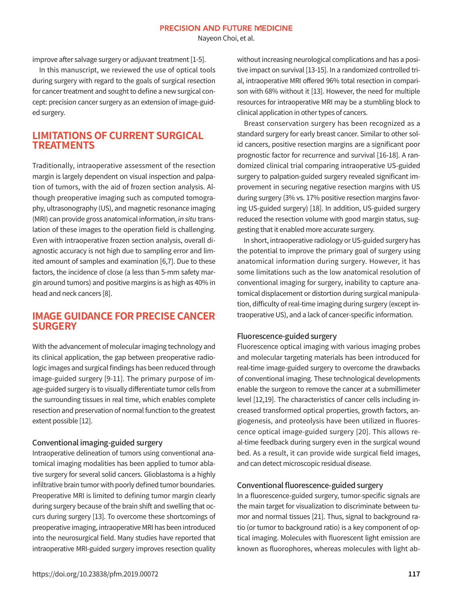Nayeon Choi, et al.

improve after salvage surgery or adjuvant treatment [1-5].

In this manuscript, we reviewed the use of optical tools during surgery with regard to the goals of surgical resection for cancer treatment and sought to define a new surgical concept: precision cancer surgery as an extension of image-guided surgery.

## **LIMITATIONS OF CURRENT SURGICAL TREATMENTS**

Traditionally, intraoperative assessment of the resection margin is largely dependent on visual inspection and palpation of tumors, with the aid of frozen section analysis. Although preoperative imaging such as computed tomography, ultrasonography (US), and magnetic resonance imaging (MRI) can provide gross anatomical information, in situ translation of these images to the operation field is challenging. Even with intraoperative frozen section analysis, overall diagnostic accuracy is not high due to sampling error and limited amount of samples and examination [6,7]. Due to these factors, the incidence of close (a less than 5-mm safety margin around tumors) and positive margins is as high as 40% in head and neck cancers [8].

## **IMAGE GUIDANCE FOR PRECISE CANCER SURGERY**

With the advancement of molecular imaging technology and its clinical application, the gap between preoperative radiologic images and surgical findings has been reduced through image-guided surgery [9-11]. The primary purpose of image-guided surgery is to visually differentiate tumor cells from the surrounding tissues in real time, which enables complete resection and preservation of normal function to the greatest extent possible [12].

## Conventional imaging-guided surgery

Intraoperative delineation of tumors using conventional anatomical imaging modalities has been applied to tumor ablative surgery for several solid cancers. Glioblastoma is a highly infiltrative brain tumor with poorly defined tumor boundaries. Preoperative MRI is limited to defining tumor margin clearly during surgery because of the brain shift and swelling that occurs during surgery [13]. To overcome these shortcomings of preoperative imaging, intraoperative MRI has been introduced into the neurosurgical field. Many studies have reported that intraoperative MRI-guided surgery improves resection quality without increasing neurological complications and has a positive impact on survival [13-15]. In a randomized controlled trial, intraoperative MRI offered 96% total resection in comparison with 68% without it [13]. However, the need for multiple resources for intraoperative MRI may be a stumbling block to clinical application in other types of cancers.

 Breast conservation surgery has been recognized as a standard surgery for early breast cancer. Similar to other solid cancers, positive resection margins are a significant poor prognostic factor for recurrence and survival [16-18]. A randomized clinical trial comparing intraoperative US-guided surgery to palpation-guided surgery revealed significant improvement in securing negative resection margins with US during surgery (3% vs. 17% positive resection margins favoring US-guided surgery) [18]. In addition, US-guided surgery reduced the resection volume with good margin status, suggesting that it enabled more accurate surgery.

 In short, intraoperative radiology or US-guided surgery has the potential to improve the primary goal of surgery using anatomical information during surgery. However, it has some limitations such as the low anatomical resolution of conventional imaging for surgery, inability to capture anatomical displacement or distortion during surgical manipulation, difficulty of real-time imaging during surgery (except intraoperative US), and a lack of cancer-specific information.

## Fluorescence-guided surgery

Fluorescence optical imaging with various imaging probes and molecular targeting materials has been introduced for real-time image-guided surgery to overcome the drawbacks of conventional imaging. These technological developments enable the surgeon to remove the cancer at a submillimeter level [12,19]. The characteristics of cancer cells including increased transformed optical properties, growth factors, angiogenesis, and proteolysis have been utilized in fluorescence optical image-guided surgery [20]. This allows real-time feedback during surgery even in the surgical wound bed. As a result, it can provide wide surgical field images, and can detect microscopic residual disease.

## Conventional fluorescence-guided surgery

In a fluorescence-guided surgery, tumor-specific signals are the main target for visualization to discriminate between tumor and normal tissues [21]. Thus, signal to background ratio (or tumor to background ratio) is a key component of optical imaging. Molecules with fluorescent light emission are known as fluorophores, whereas molecules with light ab-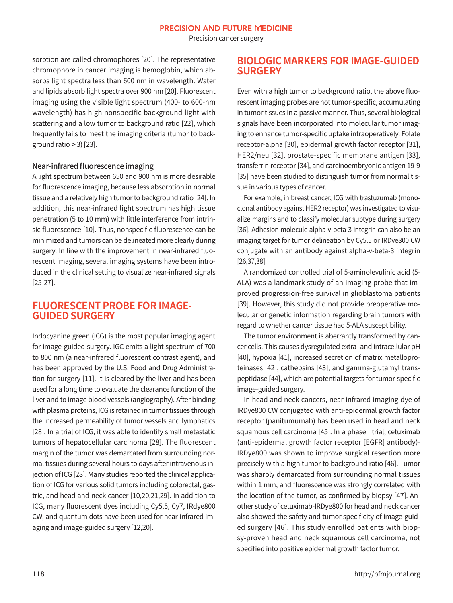Precision cancer surgery

sorption are called chromophores [20]. The representative chromophore in cancer imaging is hemoglobin, which absorbs light spectra less than 600 nm in wavelength. Water and lipids absorb light spectra over 900 nm [20]. Fluorescent imaging using the visible light spectrum (400- to 600-nm wavelength) has high nonspecific background light with scattering and a low tumor to background ratio [22], which frequently fails to meet the imaging criteria (tumor to background ratio  $>$  3) [23].

## Near-infrared fluorescence imaging

A light spectrum between 650 and 900 nm is more desirable for fluorescence imaging, because less absorption in normal tissue and a relatively high tumor to background ratio [24]. In addition, this near-infrared light spectrum has high tissue penetration (5 to 10 mm) with little interference from intrinsic fluorescence [10]. Thus, nonspecific fluorescence can be minimized and tumors can be delineated more clearly during surgery. In line with the improvement in near-infrared fluorescent imaging, several imaging systems have been introduced in the clinical setting to visualize near-infrared signals [25-27].

## **FLUORESCENT PROBE FOR IMAGE-GUIDED SURGERY**

Indocyanine green (ICG) is the most popular imaging agent for image-guided surgery. IGC emits a light spectrum of 700 to 800 nm (a near-infrared fluorescent contrast agent), and has been approved by the U.S. Food and Drug Administration for surgery [11]. It is cleared by the liver and has been used for a long time to evaluate the clearance function of the liver and to image blood vessels (angiography). After binding with plasma proteins, ICG is retained in tumor tissues through the increased permeability of tumor vessels and lymphatics [28]. In a trial of ICG, it was able to identify small metastatic tumors of hepatocellular carcinoma [28]. The fluorescent margin of the tumor was demarcated from surrounding normal tissues during several hours to days after intravenous injection of ICG [28]. Many studies reported the clinical application of ICG for various solid tumors including colorectal, gastric, and head and neck cancer [10,20,21,29]. In addition to ICG, many fluorescent dyes including Cy5.5, Cy7, IRdye800 CW, and quantum dots have been used for near-infrared imaging and image-guided surgery [12,20].

## **BIOLOGIC MARKERS FOR IMAGE-GUIDED SURGERY**

Even with a high tumor to background ratio, the above fluorescent imaging probes are not tumor-specific, accumulating in tumor tissues in a passive manner. Thus, several biological signals have been incorporated into molecular tumor imaging to enhance tumor-specific uptake intraoperatively. Folate receptor-alpha [30], epidermal growth factor receptor [31], HER2/neu [32], prostate-specific membrane antigen [33], transferrin receptor [34], and carcinoembryonic antigen 19-9 [35] have been studied to distinguish tumor from normal tissue in various types of cancer.

For example, in breast cancer, ICG with trastuzumab (monoclonal antibody against HER2 receptor) was investigated to visualize margins and to classify molecular subtype during surgery [36]. Adhesion molecule alpha-v-beta-3 integrin can also be an imaging target for tumor delineation by Cy5.5 or IRDye800 CW conjugate with an antibody against alpha-v-beta-3 integrin [26,37,38].

 A randomized controlled trial of 5-aminolevulinic acid (5- ALA) was a landmark study of an imaging probe that improved progression-free survival in glioblastoma patients [39]. However, this study did not provide preoperative molecular or genetic information regarding brain tumors with regard to whether cancer tissue had 5-ALA susceptibility.

 The tumor environment is aberrantly transformed by cancer cells. This causes dysregulated extra- and intracellular pH [40], hypoxia [41], increased secretion of matrix metalloproteinases [42], cathepsins [43], and gamma-glutamyl transpeptidase [44], which are potential targets for tumor-specific image-guided surgery.

 In head and neck cancers, near-infrared imaging dye of IRDye800 CW conjugated with anti-epidermal growth factor receptor (panitumumab) has been used in head and neck squamous cell carcinoma [45]. In a phase I trial, cetuximab (anti-epidermal growth factor receptor [EGFR] antibody)- IRDye800 was shown to improve surgical resection more precisely with a high tumor to background ratio [46]. Tumor was sharply demarcated from surrounding normal tissues within 1 mm, and fluorescence was strongly correlated with the location of the tumor, as confirmed by biopsy [47]. Another study of cetuximab-IRDye800 for head and neck cancer also showed the safety and tumor specificity of image-guided surgery [46]. This study enrolled patients with biopsy-proven head and neck squamous cell carcinoma, not specified into positive epidermal growth factor tumor.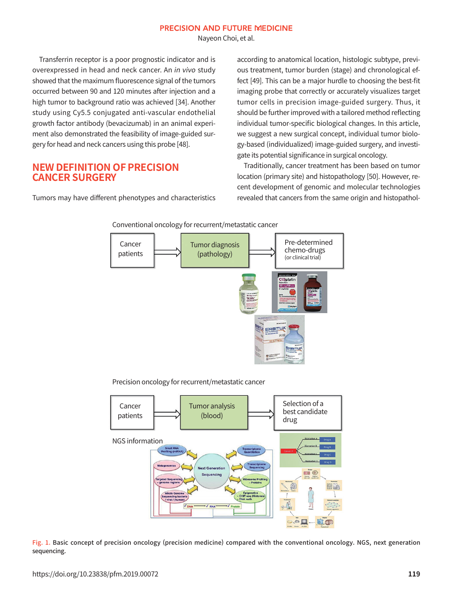Nayeon Choi, et al.

 Transferrin receptor is a poor prognostic indicator and is overexpressed in head and neck cancer. An in vivo study showed that the maximum fluorescence signal of the tumors occurred between 90 and 120 minutes after injection and a high tumor to background ratio was achieved [34]. Another study using Cy5.5 conjugated anti-vascular endothelial growth factor antibody (bevacizumab) in an animal experiment also demonstrated the feasibility of image-guided surgery for head and neck cancers using this probe [48].

## **NEW DEFINITION OF PRECISION CANCER SURGERY**

Tumors may have different phenotypes and characteristics

according to anatomical location, histologic subtype, previous treatment, tumor burden (stage) and chronological effect [49]. This can be a major hurdle to choosing the best-fit imaging probe that correctly or accurately visualizes target tumor cells in precision image-guided surgery. Thus, it should be further improved with a tailored method reflecting individual tumor-specific biological changes. In this article, we suggest a new surgical concept, individual tumor biology-based (individualized) image-guided surgery, and investigate its potential significance in surgical oncology.

 Traditionally, cancer treatment has been based on tumor location (primary site) and histopathology [50]. However, recent development of genomic and molecular technologies revealed that cancers from the same origin and histopathol-



Conventional oncology for recurrent/metastatic cancer

Precision oncology for recurrent/metastatic cancer



Fig. 1. Basic concept of precision oncology (precision medicine) compared with the conventional oncology. NGS, next generation sequencing.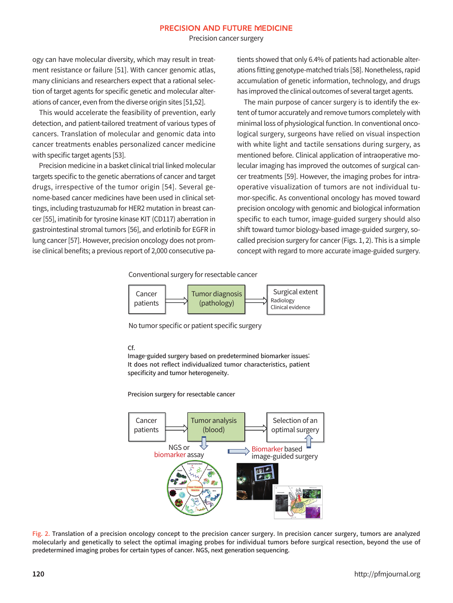Precision cancer surgery

ogy can have molecular diversity, which may result in treatment resistance or failure [51]. With cancer genomic atlas, many clinicians and researchers expect that a rational selection of target agents for specific genetic and molecular alterations of cancer, even from the diverse origin sites [51,52].

 This would accelerate the feasibility of prevention, early detection, and patient-tailored treatment of various types of cancers. Translation of molecular and genomic data into cancer treatments enables personalized cancer medicine with specific target agents [53].

Precision medicine in a basket clinical trial linked molecular targets specific to the genetic aberrations of cancer and target drugs, irrespective of the tumor origin [54]. Several genome-based cancer medicines have been used in clinical settings, including trastuzumab for HER2 mutation in breast cancer [55], imatinib for tyrosine kinase KIT (CD117) aberration in gastrointestinal stromal tumors [56], and erlotinib for EGFR in lung cancer [57]. However, precision oncology does not promise clinical benefits; a previous report of 2,000 consecutive patients showed that only 6.4% of patients had actionable alterations fitting genotype-matched trials [58]. Nonetheless, rapid accumulation of genetic information, technology, and drugs has improved the clinical outcomes of several target agents.

 The main purpose of cancer surgery is to identify the extent of tumor accurately and remove tumors completely with minimal loss of physiological function. In conventional oncological surgery, surgeons have relied on visual inspection with white light and tactile sensations during surgery, as mentioned before. Clinical application of intraoperative molecular imaging has improved the outcomes of surgical cancer treatments [59]. However, the imaging probes for intraoperative visualization of tumors are not individual tumor-specific. As conventional oncology has moved toward precision oncology with genomic and biological information specific to each tumor, image-guided surgery should also shift toward tumor biology-based image-guided surgery, socalled precision surgery for cancer (Figs. 1, 2). This is a simple concept with regard to more accurate image-guided surgery.

Conventional surgery for resectable cancer



No tumor specific or patient specific surgery

#### Cf.

Image-guided surgery based on predetermined biomarker issues: It does not reflect individualized tumor characteristics, patient specificity and tumor heterogeneity.

Precision surgery for resectable cancer



Fig. 2. Translation of a precision oncology concept to the precision cancer surgery. In precision cancer surgery, tumors are analyzed molecularly and genetically to select the optimal imaging probes for individual tumors before surgical resection, beyond the use of predetermined imaging probes for certain types of cancer. NGS, next generation sequencing.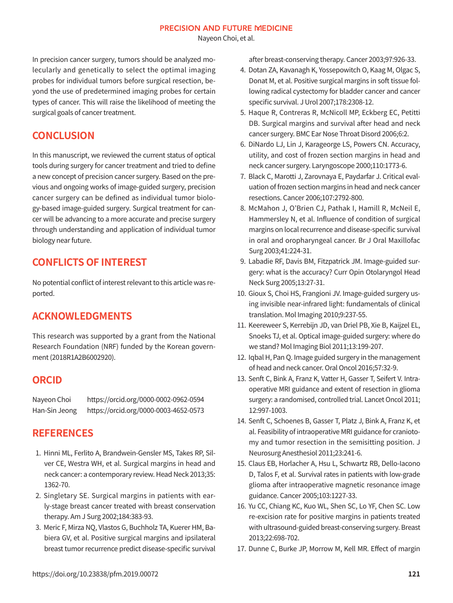Nayeon Choi, et al.

In precision cancer surgery, tumors should be analyzed molecularly and genetically to select the optimal imaging probes for individual tumors before surgical resection, beyond the use of predetermined imaging probes for certain types of cancer. This will raise the likelihood of meeting the surgical goals of cancer treatment.

# **CONCLUSION**

In this manuscript, we reviewed the current status of optical tools during surgery for cancer treatment and tried to define a new concept of precision cancer surgery. Based on the previous and ongoing works of image-guided surgery, precision cancer surgery can be defined as individual tumor biology-based image-guided surgery. Surgical treatment for cancer will be advancing to a more accurate and precise surgery through understanding and application of individual tumor biology near future.

# **CONFLICTS OF INTEREST**

No potential conflict of interest relevant to this article was reported.

# **ACKNOWLEDGMENTS**

This research was supported by a grant from the National Research Foundation (NRF) funded by the Korean government (2018R1A2B6002920).

## **ORCID**

Nayeon Choi https://orcid.org/0000-0002-0962-0594 Han-Sin Jeong https://orcid.org/0000-0003-4652-0573

## **REFERENCES**

- 1. Hinni ML, Ferlito A, Brandwein-Gensler MS, Takes RP, Silver CE, Westra WH, et al. Surgical margins in head and neck cancer: a contemporary review. Head Neck 2013;35: 1362-70.
- 2. Singletary SE. Surgical margins in patients with early-stage breast cancer treated with breast conservation therapy. Am J Surg 2002;184:383-93.
- 3. Meric F, Mirza NQ, Vlastos G, Buchholz TA, Kuerer HM, Babiera GV, et al. Positive surgical margins and ipsilateral breast tumor recurrence predict disease-specific survival

after breast-conserving therapy. Cancer 2003;97:926-33.

- 4. Dotan ZA, Kavanagh K, Yossepowitch O, Kaag M, Olgac S, Donat M, et al. Positive surgical margins in soft tissue following radical cystectomy for bladder cancer and cancer specific survival. J Urol 2007;178:2308-12.
- 5. Haque R, Contreras R, McNicoll MP, Eckberg EC, Petitti DB. Surgical margins and survival after head and neck cancer surgery. BMC Ear Nose Throat Disord 2006;6:2.
- 6. DiNardo LJ, Lin J, Karageorge LS, Powers CN. Accuracy, utility, and cost of frozen section margins in head and neck cancer surgery. Laryngoscope 2000;110:1773-6.
- 7. Black C, Marotti J, Zarovnaya E, Paydarfar J. Critical evaluation of frozen section margins in head and neck cancer resections. Cancer 2006;107:2792-800.
- 8. McMahon J, O'Brien CJ, Pathak I, Hamill R, McNeil E, Hammersley N, et al. Influence of condition of surgical margins on local recurrence and disease-specific survival in oral and oropharyngeal cancer. Br J Oral Maxillofac Surg 2003;41:224-31.
- 9. Labadie RF, Davis BM, Fitzpatrick JM. Image-guided surgery: what is the accuracy? Curr Opin Otolaryngol Head Neck Surg 2005;13:27-31.
- 10. Gioux S, Choi HS, Frangioni JV. Image-guided surgery using invisible near-infrared light: fundamentals of clinical translation. Mol Imaging 2010;9:237-55.
- 11. Keereweer S, Kerrebijn JD, van Driel PB, Xie B, Kaijzel EL, Snoeks TJ, et al. Optical image-guided surgery: where do we stand? Mol Imaging Biol 2011;13:199-207.
- 12. Iqbal H, Pan Q. Image guided surgery in the management of head and neck cancer. Oral Oncol 2016;57:32-9.
- 13. Senft C, Bink A, Franz K, Vatter H, Gasser T, Seifert V. Intraoperative MRI guidance and extent of resection in glioma surgery: a randomised, controlled trial. Lancet Oncol 2011; 12:997-1003.
- 14. Senft C, Schoenes B, Gasser T, Platz J, Bink A, Franz K, et al. Feasibility of intraoperative MRI guidance for craniotomy and tumor resection in the semisitting position. J Neurosurg Anesthesiol 2011;23:241-6.
- 15. Claus EB, Horlacher A, Hsu L, Schwartz RB, Dello-Iacono D, Talos F, et al. Survival rates in patients with low-grade glioma after intraoperative magnetic resonance image guidance. Cancer 2005;103:1227-33.
- 16. Yu CC, Chiang KC, Kuo WL, Shen SC, Lo YF, Chen SC. Low re-excision rate for positive margins in patients treated with ultrasound-guided breast-conserving surgery. Breast 2013;22:698-702.
- 17. Dunne C, Burke JP, Morrow M, Kell MR. Effect of margin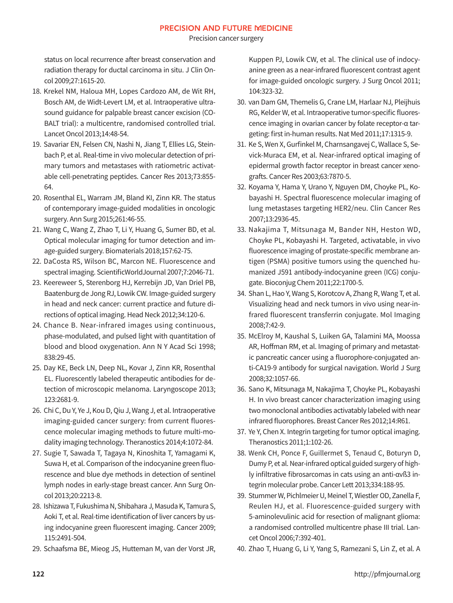status on local recurrence after breast conservation and radiation therapy for ductal carcinoma in situ. J Clin Oncol 2009;27:1615-20.

- 18. Krekel NM, Haloua MH, Lopes Cardozo AM, de Wit RH, Bosch AM, de Widt-Levert LM, et al. Intraoperative ultrasound guidance for palpable breast cancer excision (CO-BALT trial): a multicentre, randomised controlled trial. Lancet Oncol 2013;14:48-54.
- 19. Savariar EN, Felsen CN, Nashi N, Jiang T, Ellies LG, Steinbach P, et al. Real-time in vivo molecular detection of primary tumors and metastases with ratiometric activatable cell-penetrating peptides. Cancer Res 2013;73:855- 64.
- 20. Rosenthal EL, Warram JM, Bland KI, Zinn KR. The status of contemporary image-guided modalities in oncologic surgery. Ann Surg 2015;261:46-55.
- 21. Wang C, Wang Z, Zhao T, Li Y, Huang G, Sumer BD, et al. Optical molecular imaging for tumor detection and image-guided surgery. Biomaterials 2018;157:62-75.
- 22. DaCosta RS, Wilson BC, Marcon NE. Fluorescence and spectral imaging. ScientificWorldJournal 2007;7:2046-71.
- 23. Keereweer S, Sterenborg HJ, Kerrebijn JD, Van Driel PB, Baatenburg de Jong RJ, Lowik CW. Image-guided surgery in head and neck cancer: current practice and future directions of optical imaging. Head Neck 2012;34:120-6.
- 24. Chance B. Near-infrared images using continuous, phase-modulated, and pulsed light with quantitation of blood and blood oxygenation. Ann N Y Acad Sci 1998; 838:29-45.
- 25. Day KE, Beck LN, Deep NL, Kovar J, Zinn KR, Rosenthal EL. Fluorescently labeled therapeutic antibodies for detection of microscopic melanoma. Laryngoscope 2013; 123:2681-9.
- 26. Chi C, Du Y, Ye J, Kou D, Qiu J, Wang J, et al. Intraoperative imaging-guided cancer surgery: from current fluorescence molecular imaging methods to future multi-modality imaging technology. Theranostics 2014;4:1072-84.
- 27. Sugie T, Sawada T, Tagaya N, Kinoshita T, Yamagami K, Suwa H, et al. Comparison of the indocyanine green fluorescence and blue dye methods in detection of sentinel lymph nodes in early-stage breast cancer. Ann Surg Oncol 2013;20:2213-8.
- 28. Ishizawa T, Fukushima N, Shibahara J, Masuda K, Tamura S, Aoki T, et al. Real-time identification of liver cancers by using indocyanine green fluorescent imaging. Cancer 2009; 115:2491-504.
- 29. Schaafsma BE, Mieog JS, Hutteman M, van der Vorst JR,

Kuppen PJ, Lowik CW, et al. The clinical use of indocyanine green as a near-infrared fluorescent contrast agent for image-guided oncologic surgery. J Surg Oncol 2011; 104:323-32.

- 30. van Dam GM, Themelis G, Crane LM, Harlaar NJ, Pleijhuis RG, Kelder W, et al. Intraoperative tumor-specific fluorescence imaging in ovarian cancer by folate receptor-α targeting: first in-human results. Nat Med 2011;17:1315-9.
- 31. Ke S, Wen X, Gurfinkel M, Charnsangavej C, Wallace S, Sevick-Muraca EM, et al. Near-infrared optical imaging of epidermal growth factor receptor in breast cancer xenografts. Cancer Res 2003;63:7870-5.
- 32. Koyama Y, Hama Y, Urano Y, Nguyen DM, Choyke PL, Kobayashi H. Spectral fluorescence molecular imaging of lung metastases targeting HER2/neu. Clin Cancer Res 2007;13:2936-45.
- 33. Nakajima T, Mitsunaga M, Bander NH, Heston WD, Choyke PL, Kobayashi H. Targeted, activatable, in vivo fluorescence imaging of prostate-specific membrane antigen (PSMA) positive tumors using the quenched humanized J591 antibody-indocyanine green (ICG) conjugate. Bioconjug Chem 2011;22:1700-5.
- 34. Shan L, Hao Y, Wang S, Korotcov A, Zhang R, Wang T, et al. Visualizing head and neck tumors in vivo using near-infrared fluorescent transferrin conjugate. Mol Imaging 2008;7:42-9.
- 35. McElroy M, Kaushal S, Luiken GA, Talamini MA, Moossa AR, Hoffman RM, et al. Imaging of primary and metastatic pancreatic cancer using a fluorophore-conjugated anti-CA19-9 antibody for surgical navigation. World J Surg 2008;32:1057-66.
- 36. Sano K, Mitsunaga M, Nakajima T, Choyke PL, Kobayashi H. In vivo breast cancer characterization imaging using two monoclonal antibodies activatably labeled with near infrared fluorophores. Breast Cancer Res 2012;14:R61.
- 37. Ye Y, Chen X. Integrin targeting for tumor optical imaging. Theranostics 2011;1:102-26.
- 38. Wenk CH, Ponce F, Guillermet S, Tenaud C, Boturyn D, Dumy P, et al. Near-infrared optical guided surgery of highly infiltrative fibrosarcomas in cats using an anti-αvß3 integrin molecular probe. Cancer Lett 2013;334:188-95.
- 39. Stummer W, Pichlmeier U, Meinel T, Wiestler OD, Zanella F, Reulen HJ, et al. Fluorescence-guided surgery with 5-aminolevulinic acid for resection of malignant glioma: a randomised controlled multicentre phase III trial. Lancet Oncol 2006;7:392-401.
- 40. Zhao T, Huang G, Li Y, Yang S, Ramezani S, Lin Z, et al. A